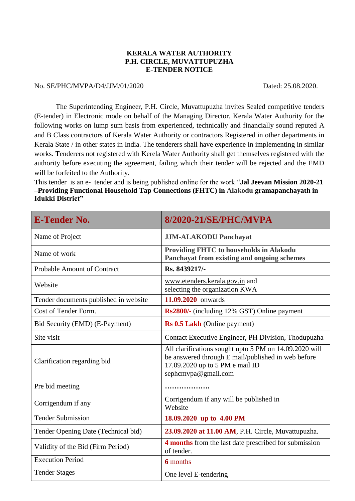## **KERALA WATER AUTHORITY P.H. CIRCLE, MUVATTUPUZHA E-TENDER NOTICE**

## No. SE/PHC/MVPA/D4/JJM/01/2020 Dated: 25.08.2020.

The Superintending Engineer, P.H. Circle, Muvattupuzha invites Sealed competitive tenders (E-tender) in Electronic mode on behalf of the Managing Director, Kerala Water Authority for the following works on lump sum basis from experienced, technically and financially sound reputed A and B Class contractors of Kerala Water Authority or contractors Registered in other departments in Kerala State / in other states in India. The tenderers shall have experience in implementing in similar works. Tenderers not registered with Kerela Water Authority shall get themselves registered with the authority before executing the agreement, failing which their tender will be rejected and the EMD will be forfeited to the Authority.

This tender is an e- tender and is being published online for the work "**Jal Jeevan Mission 2020-21 –Providing Functional Household Tap Connections (FHTC) in Alakodu gramapanchayath in Idukki District"**

| <b>E-Tender No.</b>                   | 8/2020-21/SE/PHC/MVPA                                                                                                                                                  |
|---------------------------------------|------------------------------------------------------------------------------------------------------------------------------------------------------------------------|
| Name of Project                       | <b>JJM-ALAKODU Panchayat</b>                                                                                                                                           |
| Name of work                          | Providing FHTC to households in Alakodu<br>Panchayat from existing and ongoing schemes                                                                                 |
| <b>Probable Amount of Contract</b>    | Rs. 8439217/-                                                                                                                                                          |
| Website                               | www.etenders.kerala.gov.in and<br>selecting the organization KWA                                                                                                       |
| Tender documents published in website | 11.09.2020 onwards                                                                                                                                                     |
| Cost of Tender Form.                  | Rs2800/- (including 12% GST) Online payment                                                                                                                            |
| Bid Security (EMD) (E-Payment)        | <b>Rs 0.5 Lakh</b> (Online payment)                                                                                                                                    |
| Site visit                            | Contact Executive Engineer, PH Division, Thodupuzha                                                                                                                    |
| Clarification regarding bid           | All clarifications sought upto 5 PM on 14.09.2020 will<br>be answered through E mail/published in web before<br>17.09.2020 up to 5 PM e mail ID<br>sephcmvpa@gmail.com |
| Pre bid meeting                       |                                                                                                                                                                        |
| Corrigendum if any                    | Corrigendum if any will be published in<br>Website                                                                                                                     |
| <b>Tender Submission</b>              | 18.09.2020 up to 4.00 PM                                                                                                                                               |
| Tender Opening Date (Technical bid)   | 23.09.2020 at 11.00 AM, P.H. Circle, Muvattupuzha.                                                                                                                     |
| Validity of the Bid (Firm Period)     | 4 months from the last date prescribed for submission<br>of tender.                                                                                                    |
| <b>Execution Period</b>               | <b>6</b> months                                                                                                                                                        |
| <b>Tender Stages</b>                  | One level E-tendering                                                                                                                                                  |